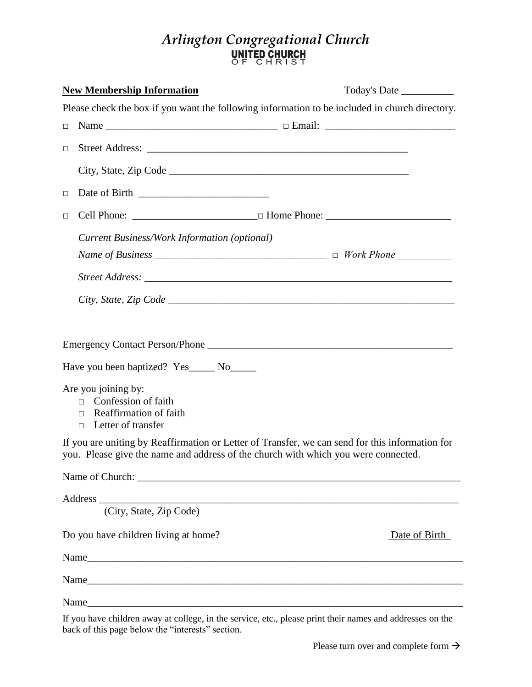## *Arlington Congregational Church*

|        | <b>New Membership Information</b>                                                                                  | Today's Date                                                                                                                                                                          |
|--------|--------------------------------------------------------------------------------------------------------------------|---------------------------------------------------------------------------------------------------------------------------------------------------------------------------------------|
|        |                                                                                                                    | Please check the box if you want the following information to be included in church directory.                                                                                        |
| $\Box$ |                                                                                                                    |                                                                                                                                                                                       |
| $\Box$ |                                                                                                                    | Street Address:                                                                                                                                                                       |
|        |                                                                                                                    |                                                                                                                                                                                       |
| $\Box$ |                                                                                                                    |                                                                                                                                                                                       |
| $\Box$ |                                                                                                                    |                                                                                                                                                                                       |
|        | <b>Current Business/Work Information (optional)</b>                                                                |                                                                                                                                                                                       |
|        |                                                                                                                    |                                                                                                                                                                                       |
|        |                                                                                                                    |                                                                                                                                                                                       |
|        |                                                                                                                    |                                                                                                                                                                                       |
|        |                                                                                                                    |                                                                                                                                                                                       |
|        |                                                                                                                    |                                                                                                                                                                                       |
|        | Have you been baptized? Yes_____ No_____                                                                           |                                                                                                                                                                                       |
|        | Are you joining by:<br>Confession of faith<br>$\Box$<br>$\Box$ Reaffirmation of faith<br>$\Box$ Letter of transfer |                                                                                                                                                                                       |
|        |                                                                                                                    | If you are uniting by Reaffirmation or Letter of Transfer, we can send for this information for<br>you. Please give the name and address of the church with which you were connected. |
|        |                                                                                                                    |                                                                                                                                                                                       |
|        | Address (City, State, Zip Code)                                                                                    |                                                                                                                                                                                       |
|        | Do you have children living at home?                                                                               | Date of Birth                                                                                                                                                                         |
|        |                                                                                                                    |                                                                                                                                                                                       |
|        |                                                                                                                    |                                                                                                                                                                                       |
|        |                                                                                                                    |                                                                                                                                                                                       |
|        |                                                                                                                    |                                                                                                                                                                                       |

If you have children away at college, in the service, etc., please print their names and addresses on the back of this page below the "interests" section.